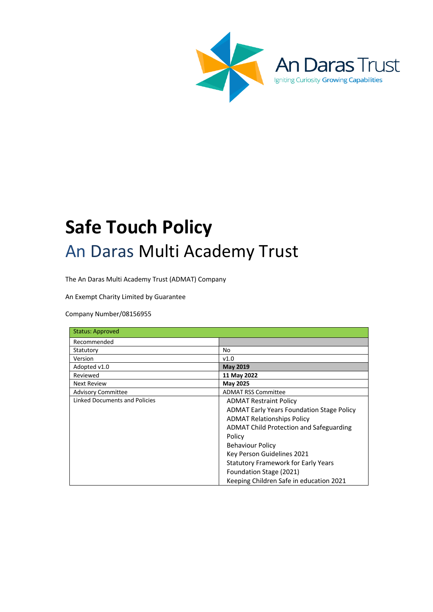

An I

Daras Trust

Igniting Curiosity Growing Capabilities



The An Daras Multi Academy Trust (ADMAT) Company

An Exempt Charity Limited by Guarantee

Company Number/08156955

| <b>Status: Approved</b>       |                                                  |
|-------------------------------|--------------------------------------------------|
| Recommended                   |                                                  |
| Statutory                     | No                                               |
| Version                       | V1.0                                             |
| Adopted v1.0                  | <b>May 2019</b>                                  |
| Reviewed                      | 11 May 2022                                      |
| <b>Next Review</b>            | May 2025                                         |
| <b>Advisory Committee</b>     | <b>ADMAT RSS Committee</b>                       |
| Linked Documents and Policies | <b>ADMAT Restraint Policy</b>                    |
|                               | <b>ADMAT Early Years Foundation Stage Policy</b> |
|                               | <b>ADMAT Relationships Policy</b>                |
|                               | ADMAT Child Protection and Safeguarding          |
|                               | Policy                                           |
|                               | <b>Behaviour Policy</b>                          |
|                               | Key Person Guidelines 2021                       |
|                               | Statutory Framework for Early Years              |
|                               | Foundation Stage (2021)                          |
|                               | Keeping Children Safe in education 2021          |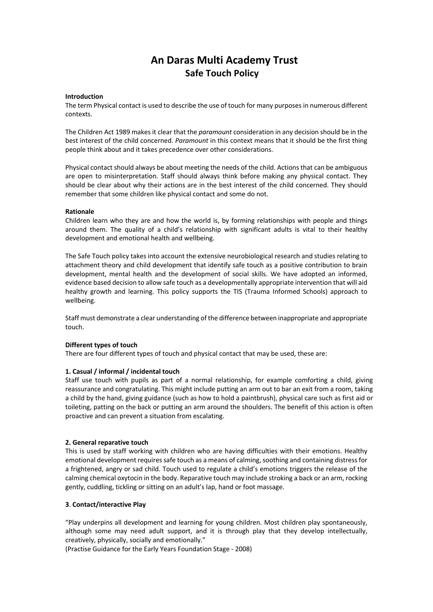# **An Daras Multi Academy Trust Safe Touch Policy**

#### **Introduction**

The term Physical contact is used to describe the use of touch for many purposes in numerous different contexts.

The Children Act 1989 makes it clear that the *paramount* consideration in any decision should be in the best interest of the child concerned. *Paramount* in this context means that it should be the first thing people think about and it takes precedence over other considerations.

Physical contact should always be about meeting the needs of the child. Actions that can be ambiguous are open to misinterpretation. Staff should always think before making any physical contact. They should be clear about why their actions are in the best interest of the child concerned. They should remember that some children like physical contact and some do not.

#### **Rationale**

Children learn who they are and how the world is, by forming relationships with people and things around them. The quality of a child's relationship with significant adults is vital to their healthy development and emotional health and wellbeing.

The Safe Touch policy takes into account the extensive neurobiological research and studies relating to attachment theory and child development that identify safe touch as a positive contribution to brain development, mental health and the development of social skills. We have adopted an informed, evidence based decision to allow safe touch as a developmentally appropriate intervention that will aid healthy growth and learning. This policy supports the TIS (Trauma Informed Schools) approach to wellbeing.

Staff must demonstrate a clear understanding of the difference between inappropriate and appropriate touch.

#### **Different types of touch**

There are four different types of touch and physical contact that may be used, these are:

### **1. Casual / informal / incidental touch**

Staff use touch with pupils as part of a normal relationship, for example comforting a child, giving reassurance and congratulating. This might include putting an arm out to bar an exit from a room, taking a child by the hand, giving guidance (such as how to hold a paintbrush), physical care such as first aid or toileting, patting on the back or putting an arm around the shoulders. The benefit of this action is often proactive and can prevent a situation from escalating.

### **2. General reparative touch**

This is used by staff working with children who are having difficulties with their emotions. Healthy emotional development requires safe touch as a means of calming, soothing and containing distress for a frightened, angry or sad child. Touch used to regulate a child's emotions triggers the release of the calming chemical oxytocin in the body. Reparative touch may include stroking a back or an arm, rocking gently, cuddling, tickling or sitting on an adult's lap, hand or foot massage.

# **3**. **Contact/interactive Play**

"Play underpins all development and learning for young children. Most children play spontaneously, although some may need adult support, and it is through play that they develop intellectually, creatively, physically, socially and emotionally."

(Practise Guidance for the Early Years Foundation Stage - 2008)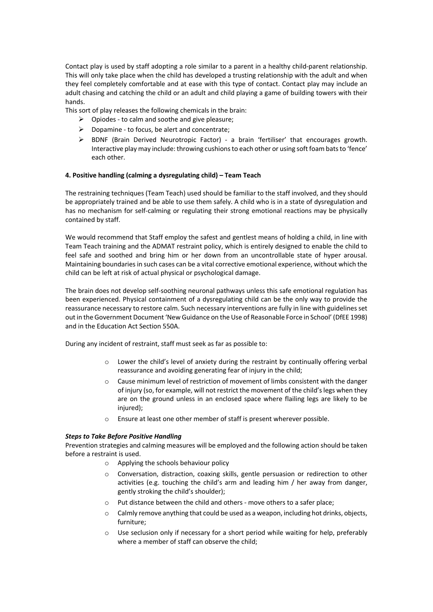Contact play is used by staff adopting a role similar to a parent in a healthy child-parent relationship. This will only take place when the child has developed a trusting relationship with the adult and when they feel completely comfortable and at ease with this type of contact. Contact play may include an adult chasing and catching the child or an adult and child playing a game of building towers with their hands.

This sort of play releases the following chemicals in the brain:

- $\triangleright$  Opiodes to calm and soothe and give pleasure;
- $\triangleright$  Dopamine to focus, be alert and concentrate;
- $\triangleright$  BDNF (Brain Derived Neurotropic Factor) a brain 'fertiliser' that encourages growth. Interactive play may include: throwing cushions to each other or using soft foam bats to 'fence' each other.

# **4. Positive handling (calming a dysregulating child) – Team Teach**

The restraining techniques (Team Teach) used should be familiar to the staff involved, and they should be appropriately trained and be able to use them safely. A child who is in a state of dysregulation and has no mechanism for self-calming or regulating their strong emotional reactions may be physically contained by staff.

We would recommend that Staff employ the safest and gentlest means of holding a child, in line with Team Teach training and the ADMAT restraint policy, which is entirely designed to enable the child to feel safe and soothed and bring him or her down from an uncontrollable state of hyper arousal. Maintaining boundaries in such cases can be a vital corrective emotional experience, without which the child can be left at risk of actual physical or psychological damage.

The brain does not develop self-soothing neuronal pathways unless this safe emotional regulation has been experienced. Physical containment of a dysregulating child can be the only way to provide the reassurance necessary to restore calm. Such necessary interventions are fully in line with guidelines set out in the Government Document 'New Guidance on the Use of Reasonable Force in School' (DfEE 1998) and in the Education Act Section 550A.

During any incident of restraint, staff must seek as far as possible to:

- o Lower the child's level of anxiety during the restraint by continually offering verbal reassurance and avoiding generating fear of injury in the child;
- o Cause minimum level of restriction of movement of limbs consistent with the danger of injury (so, for example, will not restrict the movement of the child's legs when they are on the ground unless in an enclosed space where flailing legs are likely to be injured);
- o Ensure at least one other member of staff is present wherever possible.

### *Steps to Take Before Positive Handling*

Prevention strategies and calming measures will be employed and the following action should be taken before a restraint is used.

- o Applying the schools behaviour policy
- o Conversation, distraction, coaxing skills, gentle persuasion or redirection to other activities (e.g. touching the child's arm and leading him / her away from danger, gently stroking the child's shoulder);
- o Put distance between the child and others move others to a safer place;
- $\circ$  Calmly remove anything that could be used as a weapon, including hot drinks, objects, furniture;
- o Use seclusion only if necessary for a short period while waiting for help, preferably where a member of staff can observe the child;